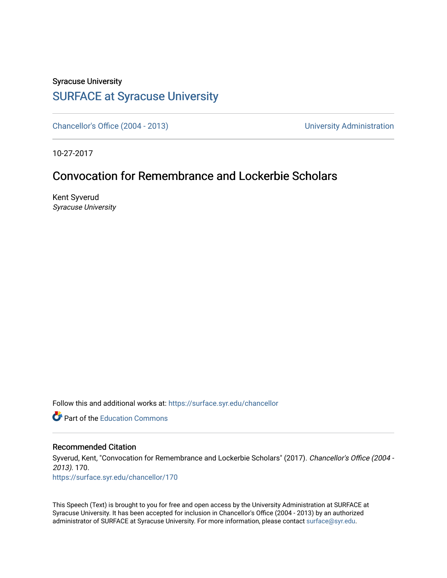## Syracuse University [SURFACE at Syracuse University](https://surface.syr.edu/)

[Chancellor's Office \(2004 - 2013\)](https://surface.syr.edu/chancellor) Chancellor's Office (2004 - 2013)

10-27-2017

## Convocation for Remembrance and Lockerbie Scholars

Kent Syverud Syracuse University

Follow this and additional works at: [https://surface.syr.edu/chancellor](https://surface.syr.edu/chancellor?utm_source=surface.syr.edu%2Fchancellor%2F170&utm_medium=PDF&utm_campaign=PDFCoverPages) 

**C** Part of the [Education Commons](http://network.bepress.com/hgg/discipline/784?utm_source=surface.syr.edu%2Fchancellor%2F170&utm_medium=PDF&utm_campaign=PDFCoverPages)

## Recommended Citation

Syverud, Kent, "Convocation for Remembrance and Lockerbie Scholars" (2017). Chancellor's Office (2004 - 2013). 170.

[https://surface.syr.edu/chancellor/170](https://surface.syr.edu/chancellor/170?utm_source=surface.syr.edu%2Fchancellor%2F170&utm_medium=PDF&utm_campaign=PDFCoverPages) 

This Speech (Text) is brought to you for free and open access by the University Administration at SURFACE at Syracuse University. It has been accepted for inclusion in Chancellor's Office (2004 - 2013) by an authorized administrator of SURFACE at Syracuse University. For more information, please contact [surface@syr.edu.](mailto:surface@syr.edu)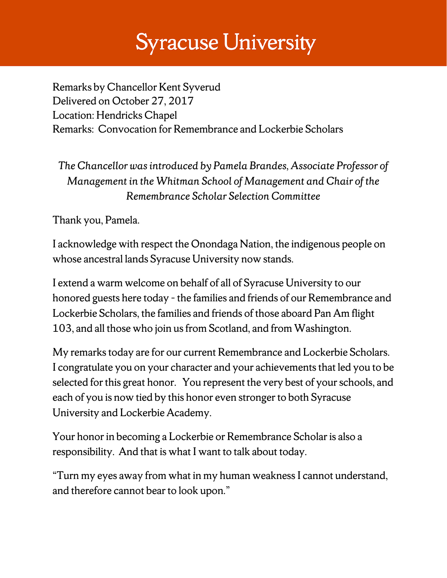## **Syracuse University**

Remarks by Chancellor Kent Syverud Delivered on October 27, 2017 Location: Hendricks Chapel Remarks: Convocation for Remembrance and Lockerbie Scholars

*The Chancellor was introduced by Pamela Brandes, Associate Professor of Management in the Whitman School of Management and Chair of the Remembrance Scholar Selection Committee*

Thank you, Pamela.

I acknowledge with respect the Onondaga Nation, the indigenous people on whose ancestral lands Syracuse University now stands.

I extend a warm welcome on behalf of all of Syracuse University to our honored guests here today - the families and friends of our Remembrance and Lockerbie Scholars, the families and friends of those aboard Pan Am flight 103, and all those who join us from Scotland, and from Washington.

My remarks today are for our current Remembrance and Lockerbie Scholars. I congratulate you on your character and your achievements that led you to be selected for this great honor. You represent the very best of your schools, and each of you is now tied by this honor even stronger to both Syracuse University and Lockerbie Academy.

Your honor in becoming a Lockerbie or Remembrance Scholar is also a responsibility. And that is what I want to talk about today.

"Turn my eyes away from what in my human weakness I cannot understand, and therefore cannot bear to look upon."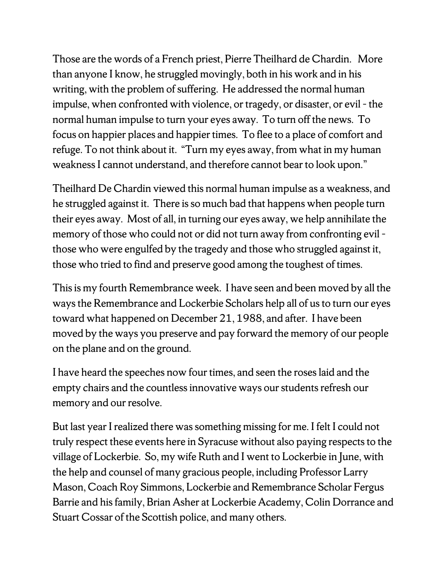Those are the words of a French priest, Pierre Theilhard de Chardin. More than anyone I know, he struggled movingly, both in his work and in his writing, with the problem of suffering. He addressed the normal human impulse, when confronted with violence, or tragedy, or disaster, or evil - the normal human impulse to turn your eyes away. To turn off the news. To focus on happier places and happier times. To flee to a place of comfort and refuge. To not think about it. "Turn my eyes away, from what in my human weakness I cannot understand, and therefore cannot bear to look upon."

Theilhard De Chardin viewed this normal human impulse as a weakness, and he struggled against it. There is so much bad that happens when people turn their eyes away. Most of all, in turning our eyes away, we help annihilate the memory of those who could not or did not turn away from confronting evil – those who were engulfed by the tragedy and those who struggled against it, those who tried to find and preserve good among the toughest of times.

This is my fourth Remembrance week. I have seen and been moved by all the ways the Remembrance and Lockerbie Scholars help all of us to turn our eyes toward what happened on December 21, 1988, and after. I have been moved by the ways you preserve and pay forward the memory of our people on the plane and on the ground.

I have heard the speeches now four times, and seen the roses laid and the empty chairs and the countless innovative ways our students refresh our memory and our resolve.

But last year I realized there was something missing for me. I felt I could not truly respect these events here in Syracuse without also paying respects to the village of Lockerbie. So, my wife Ruth and I went to Lockerbie in June, with the help and counsel of many gracious people, including Professor Larry Mason, Coach Roy Simmons, Lockerbie and Remembrance Scholar Fergus Barrie and his family, Brian Asher at Lockerbie Academy, Colin Dorrance and Stuart Cossar of the Scottish police, and many others.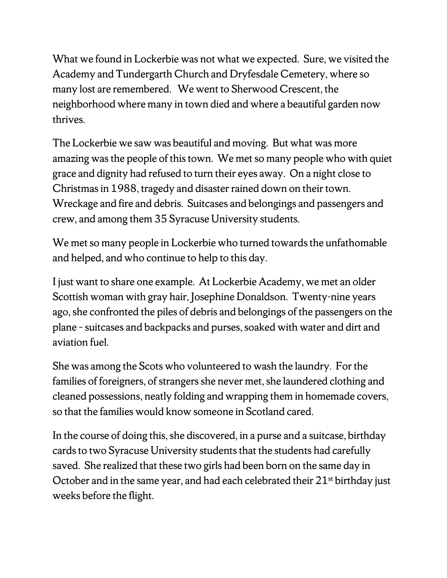What we found in Lockerbie was not what we expected. Sure, we visited the Academy and Tundergarth Church and Dryfesdale Cemetery, where so many lost are remembered. We went to Sherwood Crescent, the neighborhood where many in town died and where a beautiful garden now thrives.

The Lockerbie we saw was beautiful and moving. But what was more amazing was the people of this town. We met so many people who with quiet grace and dignity had refused to turn their eyes away. On a night close to Christmas in 1988, tragedy and disaster rained down on their town. Wreckage and fire and debris. Suitcases and belongings and passengers and crew, and among them 35 Syracuse University students.

We met so many people in Lockerbie who turned towards the unfathomable and helped, and who continue to help to this day.

I just want to share one example. At Lockerbie Academy, we met an older Scottish woman with gray hair, Josephine Donaldson. Twenty-nine years ago, she confronted the piles of debris and belongings of the passengers on the plane - suitcases and backpacks and purses, soaked with water and dirt and aviation fuel.

She was among the Scots who volunteered to wash the laundry. For the families of foreigners, of strangers she never met, she laundered clothing and cleaned possessions, neatly folding and wrapping them in homemade covers, so that the families would know someone in Scotland cared.

In the course of doing this, she discovered, in a purse and a suitcase, birthday cards to two Syracuse University students that the students had carefully saved. She realized that these two girls had been born on the same day in October and in the same year, and had each celebrated their  $21<sup>st</sup>$  birthday just weeks before the flight.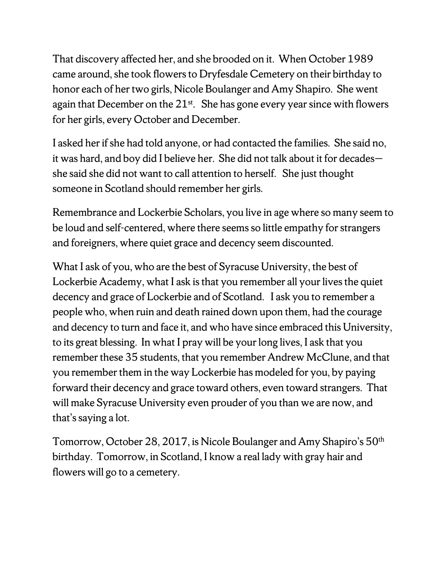That discovery affected her, and she brooded on it. When October 1989 came around, she took flowers to Dryfesdale Cemetery on their birthday to honor each of her two girls, Nicole Boulanger and Amy Shapiro. She went again that December on the  $21<sup>st</sup>$ . She has gone every year since with flowers for her girls, every October and December.

I asked her if she had told anyone, or had contacted the families. She said no, it was hard, and boy did I believe her. She did not talk about it for decades she said she did not want to call attention to herself. She just thought someone in Scotland should remember her girls.

Remembrance and Lockerbie Scholars, you live in age where so many seem to be loud and self-centered, where there seems so little empathy for strangers and foreigners, where quiet grace and decency seem discounted.

What I ask of you, who are the best of Syracuse University, the best of Lockerbie Academy, what I ask is that you remember all your lives the quiet decency and grace of Lockerbie and of Scotland. I ask you to remember a people who, when ruin and death rained down upon them, had the courage and decency to turn and face it, and who have since embraced this University, to its great blessing. In what I pray will be your long lives, I ask that you remember these 35 students, that you remember Andrew McClune, and that you remember them in the way Lockerbie has modeled for you, by paying forward their decency and grace toward others, even toward strangers. That will make Syracuse University even prouder of you than we are now, and that's saying a lot.

Tomorrow, October 28, 2017, is Nicole Boulanger and Amy Shapiro's 50th birthday. Tomorrow, in Scotland, I know a real lady with gray hair and flowers will go to a cemetery.